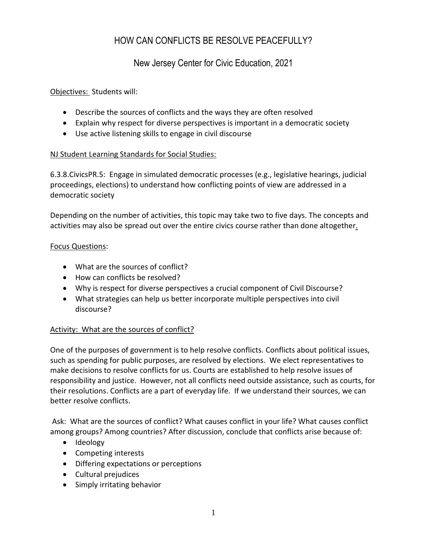# HOW CAN CONFLICTS BE RESOLVE PEACEFULLY?

## New Jersey Center for Civic Education, 2021

#### Objectives: Students will:

- Describe the sources of conflicts and the ways they are often resolved
- Explain why respect for diverse perspectives is important in a democratic society
- Use active listening skills to engage in civil discourse

#### NJ Student Learning Standards for Social Studies:

6.3.8.CivicsPR.5: Engage in simulated democratic processes (e.g., legislative hearings, judicial proceedings, elections) to understand how conflicting points of view are addressed in a democratic society

Depending on the number of activities, this topic may take two to five days. The concepts and activities may also be spread out over the entire civics course rather than done altogether.

#### Focus Questions:

- What are the sources of conflict?
- How can conflicts be resolved?
- Why is respect for diverse perspectives a crucial component of Civil Discourse?
- What strategies can help us better incorporate multiple perspectives into civil discourse?

## Activity: What are the sources of conflict?

One of the purposes of government is to help resolve conflicts. Conflicts about political issues, such as spending for public purposes, are resolved by elections. We elect representatives to make decisions to resolve conflicts for us. Courts are established to help resolve issues of responsibility and justice. However, not all conflicts need outside assistance, such as courts, for their resolutions. Conflicts are a part of everyday life. If we understand their sources, we can better resolve conflicts.

Ask: What are the sources of conflict? What causes conflict in your life? What causes conflict among groups? Among countries? After discussion, conclude that conflicts arise because of:

- Ideology
- Competing interests
- Differing expectations or perceptions
- Cultural prejudices
- Simply irritating behavior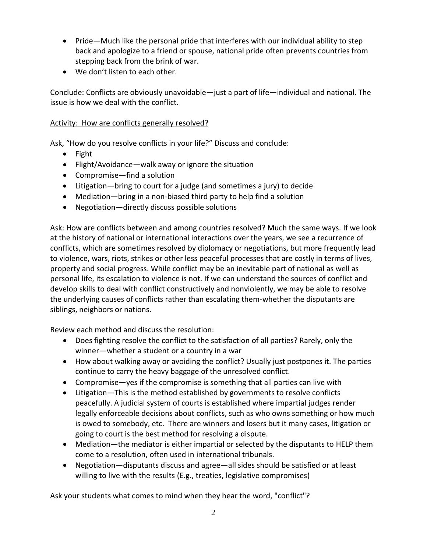- Pride—Much like the personal pride that interferes with our individual ability to step back and apologize to a friend or spouse, national pride often prevents countries from stepping back from the brink of war.
- We don't listen to each other.

Conclude: Conflicts are obviously unavoidable—just a part of life—individual and national. The issue is how we deal with the conflict.

## Activity: How are conflicts generally resolved?

Ask, "How do you resolve conflicts in your life?" Discuss and conclude:

- Fight
- Flight/Avoidance—walk away or ignore the situation
- Compromise—find a solution
- Litigation—bring to court for a judge (and sometimes a jury) to decide
- Mediation—bring in a non-biased third party to help find a solution
- Negotiation—directly discuss possible solutions

Ask: How are conflicts between and among countries resolved? Much the same ways. If we look at the history of national or international interactions over the years, we see a recurrence of conflicts, which are sometimes resolved by diplomacy or negotiations, but more frequently lead to violence, wars, riots, strikes or other less peaceful processes that are costly in terms of lives, property and social progress. While conflict may be an inevitable part of national as well as personal life, its escalation to violence is not. If we can understand the sources of conflict and develop skills to deal with conflict constructively and nonviolently, we may be able to resolve the underlying causes of conflicts rather than escalating them-whether the disputants are siblings, neighbors or nations.

Review each method and discuss the resolution:

- Does fighting resolve the conflict to the satisfaction of all parties? Rarely, only the winner—whether a student or a country in a war
- How about walking away or avoiding the conflict? Usually just postpones it. The parties continue to carry the heavy baggage of the unresolved conflict.
- Compromise—yes if the compromise is something that all parties can live with
- Litigation—This is the method established by governments to resolve conflicts peacefully. A judicial system of courts is established where impartial judges render legally enforceable decisions about conflicts, such as who owns something or how much is owed to somebody, etc. There are winners and losers but it many cases, litigation or going to court is the best method for resolving a dispute.
- Mediation—the mediator is either impartial or selected by the disputants to HELP them come to a resolution, often used in international tribunals.
- Negotiation—disputants discuss and agree—all sides should be satisfied or at least willing to live with the results (E.g., treaties, legislative compromises)

Ask your students what comes to mind when they hear the word, "conflict"?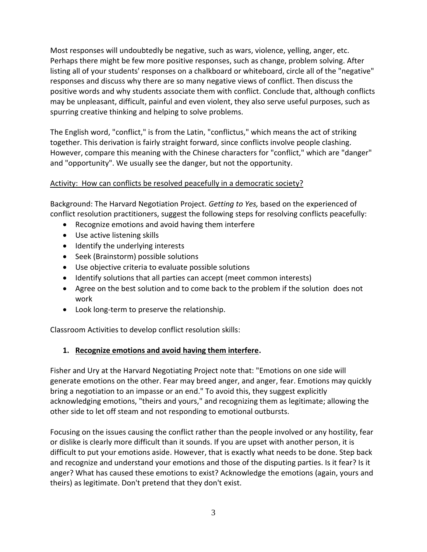Most responses will undoubtedly be negative, such as wars, violence, yelling, anger, etc. Perhaps there might be few more positive responses, such as change, problem solving. After listing all of your students' responses on a chalkboard or whiteboard, circle all of the "negative" responses and discuss why there are so many negative views of conflict. Then discuss the positive words and why students associate them with conflict. Conclude that, although conflicts may be unpleasant, difficult, painful and even violent, they also serve useful purposes, such as spurring creative thinking and helping to solve problems.

The English word, "conflict," is from the Latin, "conflictus," which means the act of striking together. This derivation is fairly straight forward, since conflicts involve people clashing. However, compare this meaning with the Chinese characters for "conflict," which are "danger" and "opportunity". We usually see the danger, but not the opportunity.

#### Activity: How can conflicts be resolved peacefully in a democratic society?

Background: The Harvard Negotiation Project. *Getting to Yes,* based on the experienced of conflict resolution practitioners, suggest the following steps for resolving conflicts peacefully:

- Recognize emotions and avoid having them interfere
- Use active listening skills
- Identify the underlying interests
- Seek (Brainstorm) possible solutions
- Use objective criteria to evaluate possible solutions
- Identify solutions that all parties can accept (meet common interests)
- Agree on the best solution and to come back to the problem if the solution does not work
- Look long-term to preserve the relationship.

Classroom Activities to develop conflict resolution skills:

#### **1. Recognize emotions and avoid having them interfere.**

Fisher and Ury at the Harvard Negotiating Project note that: "Emotions on one side will generate emotions on the other. Fear may breed anger, and anger, fear. Emotions may quickly bring a negotiation to an impasse or an end." To avoid this, they suggest explicitly acknowledging emotions, "theirs and yours," and recognizing them as legitimate; allowing the other side to let off steam and not responding to emotional outbursts.

Focusing on the issues causing the conflict rather than the people involved or any hostility, fear or dislike is clearly more difficult than it sounds. If you are upset with another person, it is difficult to put your emotions aside. However, that is exactly what needs to be done. Step back and recognize and understand your emotions and those of the disputing parties. Is it fear? Is it anger? What has caused these emotions to exist? Acknowledge the emotions (again, yours and theirs) as legitimate. Don't pretend that they don't exist.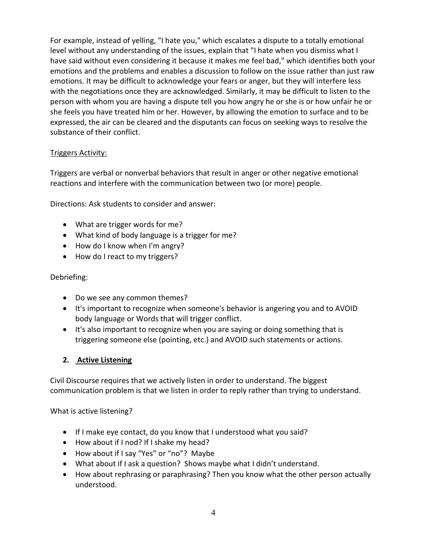For example, instead of yelling, "I hate you," which escalates a dispute to a totally emotional level without any understanding of the issues, explain that "I hate when you dismiss what I have said without even considering it because it makes me feel bad," which identifies both your emotions and the problems and enables a discussion to follow on the issue rather than just raw emotions. It may be difficult to acknowledge your fears or anger, but they will interfere less with the negotiations once they are acknowledged. Similarly, it may be difficult to listen to the person with whom you are having a dispute tell you how angry he or she is or how unfair he or she feels you have treated him or her. However, by allowing the emotion to surface and to be expressed, the air can be cleared and the disputants can focus on seeking ways to resolve the substance of their conflict.

#### Triggers Activity:

Triggers are verbal or nonverbal behaviors that result in anger or other negative emotional reactions and interfere with the communication between two (or more) people.

Directions: Ask students to consider and answer:

- What are trigger words for me?
- What kind of body language is a trigger for me?
- How do I know when I'm angry?
- How do I react to my triggers?

Debriefing:

- Do we see any common themes?
- It's important to recognize when someone's behavior is angering you and to AVOID body language or Words that will trigger conflict.
- It's also important to recognize when you are saying or doing something that is triggering someone else (pointing, etc.) and AVOID such statements or actions.

#### **2. Active Listening**

Civil Discourse requires that we actively listen in order to understand. The biggest communication problem is that we listen in order to reply rather than trying to understand.

What is active listening?

- If I make eye contact, do you know that I understood what you said?
- How about if I nod? If I shake my head?
- How about if I say "Yes" or "no"? Maybe
- What about if I ask a question? Shows maybe what I didn't understand.
- How about rephrasing or paraphrasing? Then you know what the other person actually understood.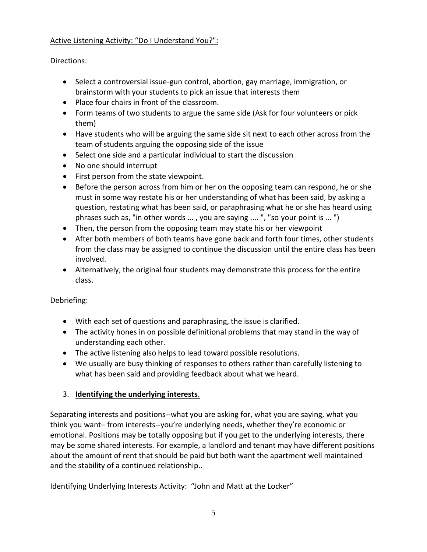#### Active Listening Activity: "Do I Understand You?":

Directions:

- Select a controversial issue-gun control, abortion, gay marriage, immigration, or brainstorm with your students to pick an issue that interests them
- Place four chairs in front of the classroom.
- Form teams of two students to argue the same side (Ask for four volunteers or pick them)
- Have students who will be arguing the same side sit next to each other across from the team of students arguing the opposing side of the issue
- Select one side and a particular individual to start the discussion
- No one should interrupt
- First person from the state viewpoint.
- Before the person across from him or her on the opposing team can respond, he or she must in some way restate his or her understanding of what has been said, by asking a question, restating what has been said, or paraphrasing what he or she has heard using phrases such as, "in other words ... , you are saying .... ", "so your point is ... ")
- Then, the person from the opposing team may state his or her viewpoint
- After both members of both teams have gone back and forth four times, other students from the class may be assigned to continue the discussion until the entire class has been involved.
- Alternatively, the original four students may demonstrate this process for the entire class.

Debriefing:

- With each set of questions and paraphrasing, the issue is clarified.
- The activity hones in on possible definitional problems that may stand in the way of understanding each other.
- The active listening also helps to lead toward possible resolutions.
- We usually are busy thinking of responses to others rather than carefully listening to what has been said and providing feedback about what we heard.

## 3. **Identifying the underlying interests**.

Separating interests and positions--what you are asking for, what you are saying, what you think you want– from interests--you're underlying needs, whether they're economic or emotional. Positions may be totally opposing but if you get to the underlying interests, there may be some shared interests. For example, a landlord and tenant may have different positions about the amount of rent that should be paid but both want the apartment well maintained and the stability of a continued relationship..

#### Identifying Underlying Interests Activity: "John and Matt at the Locker"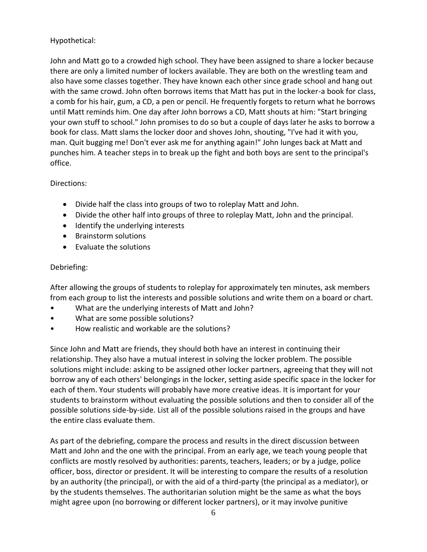#### Hypothetical:

John and Matt go to a crowded high school. They have been assigned to share a locker because there are only a limited number of lockers available. They are both on the wrestling team and also have some classes together. They have known each other since grade school and hang out with the same crowd. John often borrows items that Matt has put in the locker-a book for class, a comb for his hair, gum, a CD, a pen or pencil. He frequently forgets to return what he borrows until Matt reminds him. One day after John borrows a CD, Matt shouts at him: "Start bringing your own stuff to school." John promises to do so but a couple of days later he asks to borrow a book for class. Matt slams the locker door and shoves John, shouting, "I've had it with you, man. Quit bugging me! Don't ever ask me for anything again!" John lunges back at Matt and punches him. A teacher steps in to break up the fight and both boys are sent to the principal's office.

#### Directions:

- Divide half the class into groups of two to roleplay Matt and John.
- Divide the other half into groups of three to roleplay Matt, John and the principal.
- Identify the underlying interests
- Brainstorm solutions
- $\bullet$  Evaluate the solutions

#### Debriefing:

After allowing the groups of students to roleplay for approximately ten minutes, ask members from each group to list the interests and possible solutions and write them on a board or chart.

- What are the underlying interests of Matt and John?
- What are some possible solutions?
- How realistic and workable are the solutions?

Since John and Matt are friends, they should both have an interest in continuing their relationship. They also have a mutual interest in solving the locker problem. The possible solutions might include: asking to be assigned other locker partners, agreeing that they will not borrow any of each others' belongings in the locker, setting aside specific space in the locker for each of them. Your students will probably have more creative ideas. It is important for your students to brainstorm without evaluating the possible solutions and then to consider all of the possible solutions side-by-side. List all of the possible solutions raised in the groups and have the entire class evaluate them.

As part of the debriefing, compare the process and results in the direct discussion between Matt and John and the one with the principal. From an early age, we teach young people that conflicts are mostly resolved by authorities: parents, teachers, leaders; or by a judge, police officer, boss, director or president. It will be interesting to compare the results of a resolution by an authority (the principal), or with the aid of a third-party {the principal as a mediator), or by the students themselves. The authoritarian solution might be the same as what the boys might agree upon (no borrowing or different locker partners), or it may involve punitive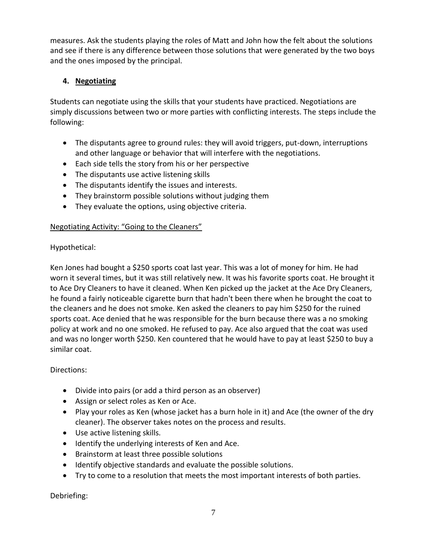measures. Ask the students playing the roles of Matt and John how the felt about the solutions and see if there is any difference between those solutions that were generated by the two boys and the ones imposed by the principal.

### **4. Negotiating**

Students can negotiate using the skills that your students have practiced. Negotiations are simply discussions between two or more parties with conflicting interests. The steps include the following:

- The disputants agree to ground rules: they will avoid triggers, put-down, interruptions and other language or behavior that will interfere with the negotiations.
- Each side tells the story from his or her perspective
- The disputants use active listening skills
- The disputants identify the issues and interests.
- They brainstorm possible solutions without judging them
- They evaluate the options, using objective criteria.

#### Negotiating Activity: "Going to the Cleaners"

#### Hypothetical:

Ken Jones had bought a \$250 sports coat last year. This was a lot of money for him. He had worn it several times, but it was still relatively new. It was his favorite sports coat. He brought it to Ace Dry Cleaners to have it cleaned. When Ken picked up the jacket at the Ace Dry Cleaners, he found a fairly noticeable cigarette burn that hadn't been there when he brought the coat to the cleaners and he does not smoke. Ken asked the cleaners to pay him \$250 for the ruined sports coat. Ace denied that he was responsible for the burn because there was a no smoking policy at work and no one smoked. He refused to pay. Ace also argued that the coat was used and was no longer worth \$250. Ken countered that he would have to pay at least \$250 to buy a similar coat.

Directions:

- Divide into pairs (or add a third person as an observer)
- Assign or select roles as Ken or Ace.
- Play your roles as Ken (whose jacket has a burn hole in it) and Ace (the owner of the dry cleaner). The observer takes notes on the process and results.
- Use active listening skills.
- Identify the underlying interests of Ken and Ace.
- Brainstorm at least three possible solutions
- Identify objective standards and evaluate the possible solutions.
- Try to come to a resolution that meets the most important interests of both parties.

Debriefing: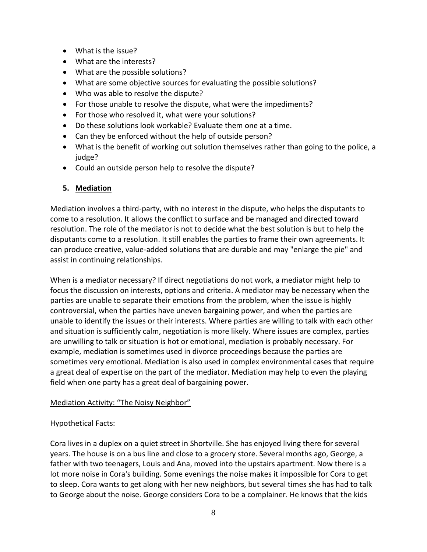- What is the issue?
- What are the interests?
- What are the possible solutions?
- What are some objective sources for evaluating the possible solutions?
- Who was able to resolve the dispute?
- For those unable to resolve the dispute, what were the impediments?
- For those who resolved it, what were your solutions?
- Do these solutions look workable? Evaluate them one at a time.
- Can they be enforced without the help of outside person?
- What is the benefit of working out solution themselves rather than going to the police, a judge?
- Could an outside person help to resolve the dispute?

#### **5. Mediation**

Mediation involves a third-party, with no interest in the dispute, who helps the disputants to come to a resolution. It allows the conflict to surface and be managed and directed toward resolution. The role of the mediator is not to decide what the best solution is but to help the disputants come to a resolution. It still enables the parties to frame their own agreements. It can produce creative, value-added solutions that are durable and may "enlarge the pie" and assist in continuing relationships.

When is a mediator necessary? If direct negotiations do not work, a mediator might help to focus the discussion on interests, options and criteria. A mediator may be necessary when the parties are unable to separate their emotions from the problem, when the issue is highly controversial, when the parties have uneven bargaining power, and when the parties are unable to identify the issues or their interests. Where parties are willing to talk with each other and situation is sufficiently calm, negotiation is more likely. Where issues are complex, parties are unwilling to talk or situation is hot or emotional, mediation is probably necessary. For example, mediation is sometimes used in divorce proceedings because the parties are sometimes very emotional. Mediation is also used in complex environmental cases that require a great deal of expertise on the part of the mediator. Mediation may help to even the playing field when one party has a great deal of bargaining power.

#### Mediation Activity: "The Noisy Neighbor"

## Hypothetical Facts:

Cora lives in a duplex on a quiet street in Shortville. She has enjoyed living there for several years. The house is on a bus line and close to a grocery store. Several months ago, George, a father with two teenagers, Louis and Ana, moved into the upstairs apartment. Now there is a lot more noise in Cora's building. Some evenings the noise makes it impossible for Cora to get to sleep. Cora wants to get along with her new neighbors, but several times she has had to talk to George about the noise. George considers Cora to be a complainer. He knows that the kids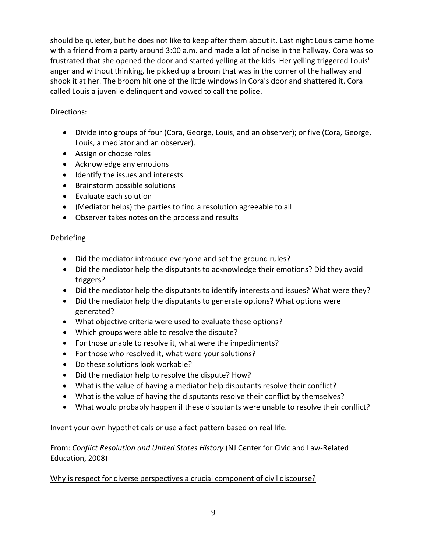should be quieter, but he does not like to keep after them about it. Last night Louis came home with a friend from a party around 3:00 a.m. and made a lot of noise in the hallway. Cora was so frustrated that she opened the door and started yelling at the kids. Her yelling triggered Louis' anger and without thinking, he picked up a broom that was in the corner of the hallway and shook it at her. The broom hit one of the little windows in Cora's door and shattered it. Cora called Louis a juvenile delinquent and vowed to call the police.

Directions:

- Divide into groups of four (Cora, George, Louis, and an observer); or five (Cora, George, Louis, a mediator and an observer).
- Assign or choose roles
- Acknowledge any emotions
- Identify the issues and interests
- Brainstorm possible solutions
- Evaluate each solution
- (Mediator helps) the parties to find a resolution agreeable to all
- Observer takes notes on the process and results

Debriefing:

- Did the mediator introduce everyone and set the ground rules?
- Did the mediator help the disputants to acknowledge their emotions? Did they avoid triggers?
- Did the mediator help the disputants to identify interests and issues? What were they?
- Did the mediator help the disputants to generate options? What options were generated?
- What objective criteria were used to evaluate these options?
- Which groups were able to resolve the dispute?
- For those unable to resolve it, what were the impediments?
- For those who resolved it, what were your solutions?
- Do these solutions look workable?
- Did the mediator help to resolve the dispute? How?
- What is the value of having a mediator help disputants resolve their conflict?
- What is the value of having the disputants resolve their conflict by themselves?
- What would probably happen if these disputants were unable to resolve their conflict?

Invent your own hypotheticals or use a fact pattern based on real life.

From: *Conflict Resolution and United States History* (NJ Center for Civic and Law-Related Education, 2008)

#### Why is respect for diverse perspectives a crucial component of civil discourse?